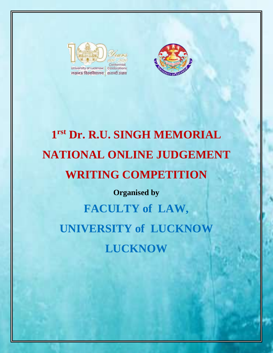



# **1 rst Dr. R.U. SINGH MEMORIAL NATIONAL ONLINE JUDGEMENT WRITING COMPETITION**

**Organised by**

**FACULTY of LAW, UNIVERSITY of LUCKNOW LUCKNOW**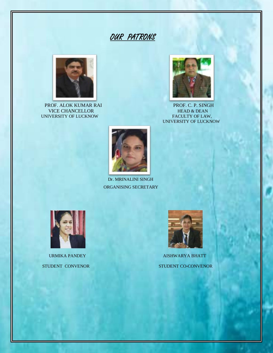## OUR PATRONS



PROF. ALOK KUMAR RAI PROF. C. P. SINGH VICE CHANCELLOR HEAD & DEAN VICE CHANCELLOR HEAD & DEAN<br>IVERSITY OF LUCKNOW FACULTY OF LAW. UNIVERSITY OF LUCKNOW



UNIVERSITY OF LUCKNOW



 Dr. MRINALINI SINGH ORGANISING SECRETARY



STUDENT CONVENOR STUDENT CO-CONVENOR

ī



URMIKA PANDEY AISHWARYA BHATT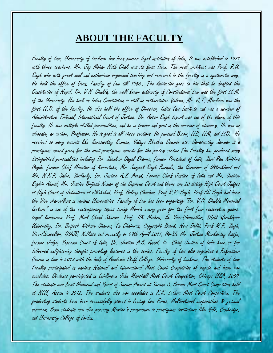### **ABOUT THE FACULTY**

Faculty of Law, University of Lucknow has been pioneer legal institution of India. It was established in 1921 with three teachers. Mr. Jag Mohan Nath Chak was its first Dean. The real architect was Prof. R.U. Singh who with great zeal and enthusiasm organized teaching and research in the faculty in a systematic way. He held the office of Dean, Faculty of Law till 1956.. The distinction goes to him that he drafted the Constitution of Nepal. Dr. V.N. Shukla, the well known authority of Constitutional Law was the first LL.M. of the University. His book on Indian Constitution is still an authoritative Volume. Mr. A.T. Markose was the first LL.D. of the faculty. He also held the office of Director, Indian Law Institute and was a member of Administrative Tribunal, International Court of Justice. Dr. Avtar Singh depart was one of the alumni of this faculty. He was multiple skilled personalities, and he is famous and good in the carrier of advocacy. He was an advocate, an author, Professor. He is good in all these sections. He pursued B.com, LLB, LLM, and LLD. He received so many awards like Saraswathy Samman, Vidhya Bhushan Samman etc. Saraswathy Samman is a prestigious award given for the most prestigious awards for the poetry section.The Faculty has produced many distinguished personalities including Dr. Shankar Dayal Sharma, former President of India, Shri Ram Krishna Hegde, former Chief Minister of Karnataka, Mr. Surjeet Singh Barnala, the Governor of Uttrakhand and Mr. N.K.P. Salve. Similarly, Dr. Justice A.S. Anand, Former Chief Justice of India and Mr. Justice Saghir Ahmad, Mr. Justice Brijesh Kumar of the Supreme Court and there are 20 sitting High Court Judges at High Court of Judicature at Allahabad. Prof. Balraj Chauhan, Prof R.P. Singh, Prof SK Singh had been the Vice chancellors in various Universities. Faculty of Law has been organising "Dr. V.N. Shukla Memorial Lecture" on one of the contemporary topics during March every year for the first four consecutive years. Legal luminaries Prof. Mool Chand Sharma, Prof. RK Mishra, Ex Vice-Chancellor, DDU Gorakhpur University, Dr. Brijesh Kishore Sharma, Ex Chairman, Copyright Board, New Delhi. Prof M.P. Singh, Vice-Chancellor, NUJS, Kolkata and recently on 09th April 2011, Hon'ble Mr. Justice Markandey Katju, former Judge, Supreme Court of India, Dr. Justice A.S. Anand, Ex- Chief Justice of India have so far delivered enlightening thought provoking lectures in the series. Faculty of Law also organizes a Refresher Course in Law in 2012 with the help of Academic Staff College, University of Lucknow. The students of Law Faculty participated in various National and International Moot Court Competition of repute and have won accolades. Students participated in Lui-Brown John Marshall Moot Court Competition, Chicago USA, 2009. The students won Best Memorial and Spirit of Surana Award at Surana & Surana Moot Court Competition held at NLU, Assam in 2012. The students also won accolades in K.K. Luthra Moot Court Competition. The graduating students have been successfully placed in leading Law Firms, Multinational corporations & judicial services. Some students are also pursuing Master's programme in prestigious institutions like Yale, Cambridge, and University College of London.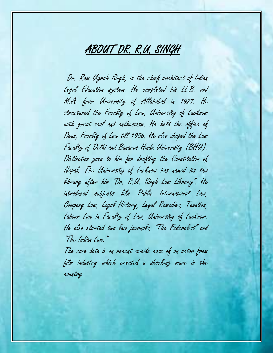# ABOUT DR. R.U. SINGH

 Dr. Ram Ugrah Singh, is the chief architect of Indian Legal Education system. He completed his LL.B. and M.A. from University of Allahabad in 1927. He structured the Faculty of Law, University of Lucknow with great zeal and enthusiasm. He held the office of Dean, Faculty of Law till 1956. He also shaped the Law Faculty of Delhi and Banaras Hindu University (BHU). Distinction goes to him for drafting the Constitution of Nepal. The University of Lucknow has named its law library after him "Dr. R.U. Singh Law Library". He introduced subjects like Public International Law, Company Law, Legal History, Legal Remedies, Taxation, Labour Law in Faculty of Law, University of Lucknow. He also started two law journals, "The Federalist" and "The Indian Law."

The case data is on recent suicide case of an actor from film industry which created a shocking wave in the country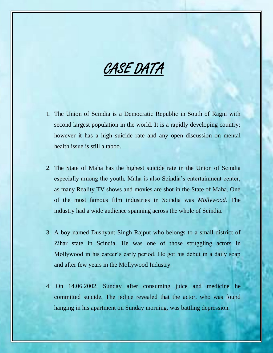CASE DATA

- 1. The Union of Scindia is a Democratic Republic in South of Ragni with second largest population in the world. It is a rapidly developing country; however it has a high suicide rate and any open discussion on mental health issue is still a taboo.
- 2. The State of Maha has the highest suicide rate in the Union of Scindia especially among the youth. Maha is also Scindia's entertainment center, as many Reality TV shows and movies are shot in the State of Maha. One of the most famous film industries in Scindia was *Mollywood.* The industry had a wide audience spanning across the whole of Scindia.
- 3. A boy named Dushyant Singh Rajput who belongs to a small district of Zihar state in Scindia. He was one of those struggling actors in Mollywood in his career's early period. He got his debut in a daily soap and after few years in the Mollywood Industry.
- 4. On 14.06.2002, Sunday after consuming juice and medicine he committed suicide. The police revealed that the actor, who was found hanging in his apartment on Sunday morning, was battling depression.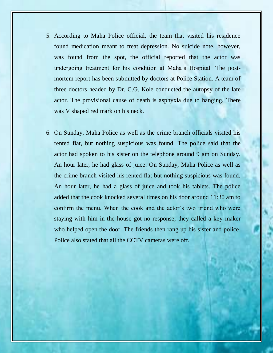- 5. According to Maha Police official, the team that visited his residence found medication meant to treat depression. No suicide note, however, was found from the spot, the official reported that the actor was undergoing treatment for his condition at Maha's Hospital. The postmortem report has been submitted by doctors at Police Station. A team of three doctors headed by Dr. C.G. Kole conducted the autopsy of the late actor. The provisional cause of death is asphyxia due to hanging. There was V shaped red mark on his neck.
- 6. On Sunday, Maha Police as well as the crime branch officials visited his rented flat, but nothing suspicious was found. The police said that the actor had spoken to his sister on the telephone around 9 am on Sunday. An hour later, he had glass of juice. On Sunday, Maha Police as well as the crime branch visited his rented flat but nothing suspicious was found. An hour later, he had a glass of juice and took his tablets. The police added that the cook knocked several times on his door around 11:30 am to confirm the menu. When the cook and the actor's two friend who were staying with him in the house got no response, they called a key maker who helped open the door. The friends then rang up his sister and police. Police also stated that all the CCTV cameras were off.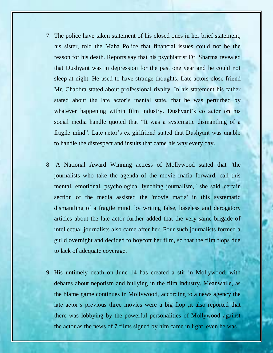- 7. The police have taken statement of his closed ones in her brief statement, his sister, told the Maha Police that financial issues could not be the reason for his death. Reports say that his psychiatrist Dr. Sharma revealed that Dushyant was in depression for the past one year and he could not sleep at night. He used to have strange thoughts. Late actors close friend Mr. Chabbra stated about professional rivalry. In his statement his father stated about the late actor's mental state, that he was perturbed by whatever happening within film industry. Dushyant's co actor on his social media handle quoted that "It was a systematic dismantling of a fragile mind". Late actor's ex girlfriend stated that Dushyant was unable to handle the disrespect and insults that came his way every day.
- 8. A National Award Winning actress of Mollywood stated that "the journalists who take the agenda of the movie mafia forward, call this mental, emotional, psychological lynching journalism," she said. certain section of the media assisted the 'movie mafia' in this systematic dismantling of a fragile mind, by writing false, baseless and derogatory articles about the late actor further added that the very same brigade of intellectual journalists also came after her. Four such journalists formed a guild overnight and decided to boycott her film, so that the film flops due to lack of adequate coverage.
- 9. His untimely death on June 14 has created a stir in Mollywood, with debates about nepotism and bullying in the film industry. Meanwhile, as the blame game continues in Mollywood, according to a news agency the late actor's previous three movies were a big flop , it also reported that there was lobbying by the powerful personalities of Mollywood against the actor as the news of 7 films signed by him came in light, even he was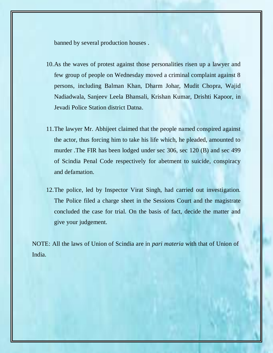banned by several production houses .

- 10.As the waves of protest against those personalities risen up a lawyer and few group of people on Wednesday moved a criminal complaint against 8 persons, including Balman Khan, Dharm Johar, Mudit Chopra, Wajid Nadiadwala, Sanjeev Leela Bhansali, Krishan Kumar, Drishti Kapoor, in Jevadi Police Station district Datna.
- 11.The lawyer Mr. Abhijeet claimed that the people named conspired against the actor, thus forcing him to take his life which, he pleaded, amounted to murder .The FIR has been lodged under sec 306, sec 120 (B) and sec 499 of Scindia Penal Code respectively for abetment to suicide, conspiracy and defamation.
- 12.The police, led by Inspector Virat Singh, had carried out investigation. The Police filed a charge sheet in the Sessions Court and the magistrate concluded the case for trial. On the basis of fact, decide the matter and give your judgement.

NOTE: All the laws of Union of Scindia are in *pari materia* with that of Union of India.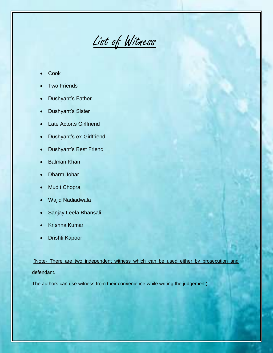List of Witness

- Cook
- Two Friends
- Dushyant's Father
- Dushyant's Sister
- Late Actor,s Girlfriend
- Dushyant's ex-Girlfriend
- Dushyant's Best Friend
- Balman Khan
- Dharm Johar
- Mudit Chopra
- Wajid Nadiadwala
- Sanjay Leela Bhansali
- Krishna Kumar
- Drishti Kapoor

(Note- There are two independent witness which can be used either by prosecution and defendant.

The authors can use witness from their convenience while writing the judgement)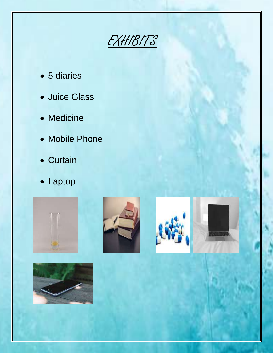EXHIBITS

- 5 diaries
- Juice Glass
- Medicine
- Mobile Phone
- Curtain
- Laptop









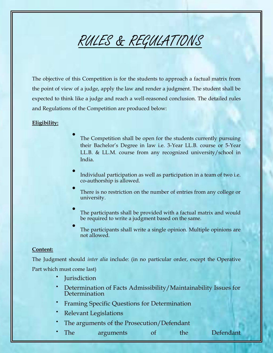# RULES & REGULATIONS

The objective of this Competition is for the students to approach a factual matrix from the point of view of a judge, apply the law and render a judgment. The student shall be expected to think like a judge and reach a well-reasoned conclusion. The detailed rules and Regulations of the Competition are produced below:

#### **Eligibility:**

- $\bullet$ The Competition shall be open for the students currently pursuing their Bachelor's Degree in law i.e. 3-Year LL.B. course or 5-Year LL.B. & LL.M. course from any recognized university/school in India.
- $\bullet$ Individual participation as well as participation in a team of two i.e. co-authorship is allowed.
- $\bullet$ There is no restriction on the number of entries from any college or university.
- $\bullet$ The participants shall be provided with a factual matrix and would be required to write a judgment based on the same.
- $\bullet$ The participants shall write a single opinion. Multiple opinions are not allowed.

#### **Content:**

The Judgment should *inter alia* include: (in no particular order, except the Operative Part which must come last)

- $\bullet$ **Jurisdiction**
- Determination of Facts Admissibility/Maintainability Issues for Determination
- Framing Specific Questions for Determination
- Relevant Legislations
- The arguments of the Prosecution/Defendant
- The arguments of the Defendant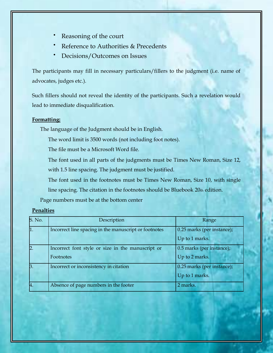- Reasoning of the court
- Reference to Authorities & Precedents
- Decisions/Outcomes on Issues

The participants may fill in necessary particulars/fillers to the judgment (i.e. name of advocates, judges etc.).

Such fillers should not reveal the identity of the participants. Such a revelation would lead to immediate disqualification.

#### **Formatting:**

The language of the Judgment should be in English.

The word limit is 3500 words (not including foot notes).

The file must be a Microsoft Word file.

The font used in all parts of the judgments must be Times New Roman, Size 12, with 1.5 line spacing. The judgment must be justified.

The font used in the footnotes must be Times New Roman, Size 10, with single line spacing. The citation in the footnotes should be Bluebook 20th edition.

Page numbers must be at the bottom center

#### **Penalties**

| S. No. | Description                                           | Range                      |  |
|--------|-------------------------------------------------------|----------------------------|--|
|        | Incorrect line spacing in the manuscript or footnotes | 0.25 marks (per instance); |  |
|        |                                                       | Up to 1 marks.             |  |
|        | Incorrect font style or size in the manuscript or     | 0.5 marks (per instance);  |  |
|        | Footnotes                                             | Up to 2 marks.             |  |
| B      | Incorrect or inconsistency in citation                | 0.25 marks (per instance); |  |
|        |                                                       | Up to 1 marks.             |  |
| 4.     | Absence of page numbers in the footer                 | 2 marks.                   |  |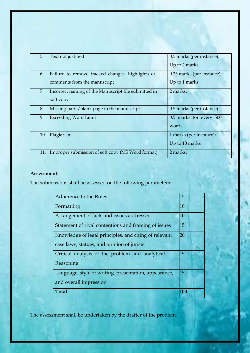| 5.  | Text not justified                                   | 0.5 marks (per instance);  |
|-----|------------------------------------------------------|----------------------------|
|     |                                                      | Up to 2 marks.             |
| 6.  | Failure to remove tracked changes, highlights or     | 0.25 marks (per instance); |
|     | comments from the manuscript                         | Up to 1 marks              |
| 7.  | Incorrect naming of the Manuscript file submitted in | 2 marks.                   |
|     | soft-copy                                            |                            |
| 8.  | Missing parts/blank page in the manuscript           | 0.5 marks (per instance).  |
| 9.  | <b>Exceeding Word Limit</b>                          | 0.5 marks for every 500    |
|     |                                                      | words.                     |
| 10. | Plagiarism                                           | 1 marks (per instance);    |
|     |                                                      | Up to 10 marks             |
| 11. | Improper submission of soft copy (MS Word format)    | 2 marks.                   |

### **Assessment:**

The submissions shall be assessed on the following parameters:

| Adherence to the Rules                                | h5  |
|-------------------------------------------------------|-----|
| Formatting                                            | h0  |
| Arrangement of facts and issues addressed             | 10  |
| Statement of rival contentions and framing of issues  | 15  |
| Knowledge of legal principles, and citing of relevant | 20  |
| case laws, statues, and opinion of jurists.           |     |
| Critical analysis of the problem and analytical       | 15  |
| Reasoning                                             |     |
| Language, style of writing, presentation, appearance, | 15  |
| and overall impression                                |     |
| <b>Total</b>                                          | 100 |

The assessment shall be undertaken by the drafter of the problem.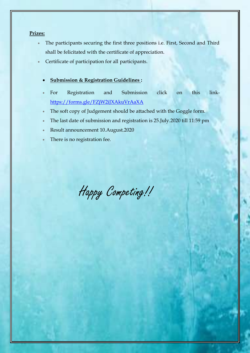#### **Prizes:**

- The participants securing the first three positions i.e. First, Second and Third shall be felicitated with the certificate of appreciation.
- Certificate of participation for all participants.
	- **Submission & Registration Guidelines :**
	- For Registration and Submission click on this link<https://forms.gle/FZjW2iJXAkuVrAaXA>
	- The soft copy of Judgement should be attached with the Goggle form.
	- The last date of submission and registration is 25.July.2020 till 11:59 pm
	- Result announcement 10.August.2020
	- There is no registration fee.

Happy Competing!!